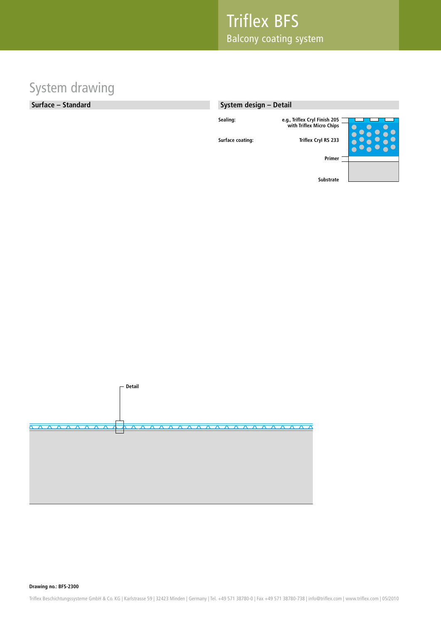### System drawing

#### **Surface – Standard**

#### **System design – Detail**

**Surface coating: Triflex Cryl RS 233**





**Drawing no.: BFS-2300**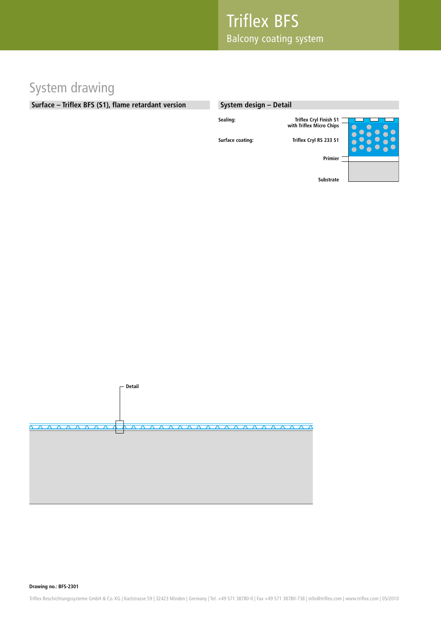### System drawing

### **Surface – Triflex BFS (S1), flame retardant version**

#### **System design – Detail**

**Surface coating: Triflex Cryl RS 233 S1**





**Drawing no.: BFS-2301**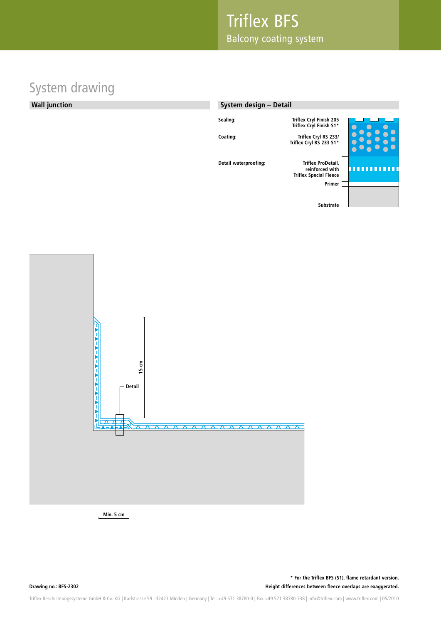# System drawing

#### **Wall junction**

### **Sealing: Triflex Cryl Finish 205 Triflex Cryl Finish S1\* Primer Substrate Coating: Triflex Cryl RS 233/ Triflex Cryl RS 233 S1\* Detail waterproofing: reinforced with Triflex Special Fleece System design – Detail**



**Min. 5 cm**

**Drawing no.: BFS-2302 Height differences between fleece overlaps are exaggerated. \* For the Triflex BFS (S1), flame retardant version.**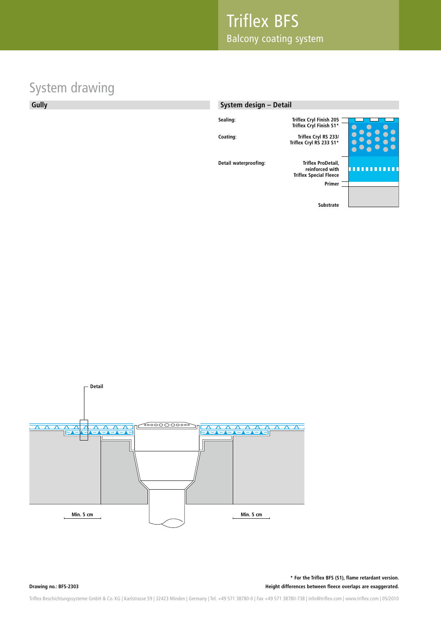# System drawing

### **Gully**

#### **System design – Detail**

**Detail waterproofing:** 



ೲೲ ಾಂ **Min. 5 cm Min. 5 cm** 

**Drawing no.: BFS-2303**

**Detail**

**Height differences between fleece overlaps are exaggerated. \* For the Triflex BFS (S1), flame retardant version.**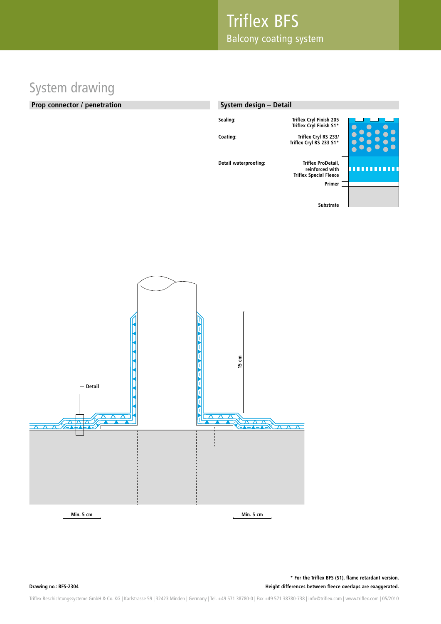# System drawing

#### **Prop connector / penetration**

| System design - Detail |                                                                        |  |
|------------------------|------------------------------------------------------------------------|--|
| Sealing:               | <b>Triflex Cryl Finish 205</b><br>Triflex Cryl Finish S1*              |  |
| Coating:               | Triflex Cryl RS 233/<br>Triflex Cryl RS 233 S1*                        |  |
| Detail waterproofing:  | Triflex ProDetail.<br>reinforced with<br><b>Triflex Special Fleece</b> |  |
|                        | Primer                                                                 |  |
|                        | <b>Substrate</b>                                                       |  |



**Height differences between fleece overlaps are exaggerated. \* For the Triflex BFS (S1), flame retardant version.**

**Drawing no.: BFS-2304**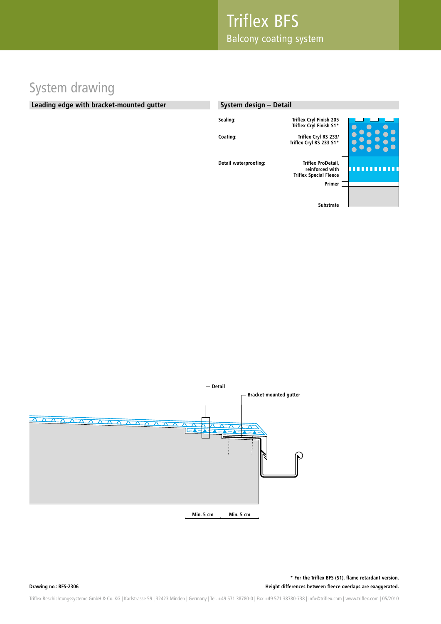# System drawing

#### **Leading edge with bracket-mounted gutter**

| System design - Detail |                                                                        |  |
|------------------------|------------------------------------------------------------------------|--|
| Sealing:               | <b>Triflex Cryl Finish 205</b><br>Triflex Cryl Finish S1*              |  |
| Coating:               | Triflex Cryl RS 233/<br>Triflex Cryl RS 233 S1*                        |  |
| Detail waterproofing:  | Triflex ProDetail.<br>reinforced with<br><b>Triflex Special Fleece</b> |  |
|                        | Primer                                                                 |  |
|                        | <b>Substrate</b>                                                       |  |



**Height differences between fleece overlaps are exaggerated. \* For the Triflex BFS (S1), flame retardant version.**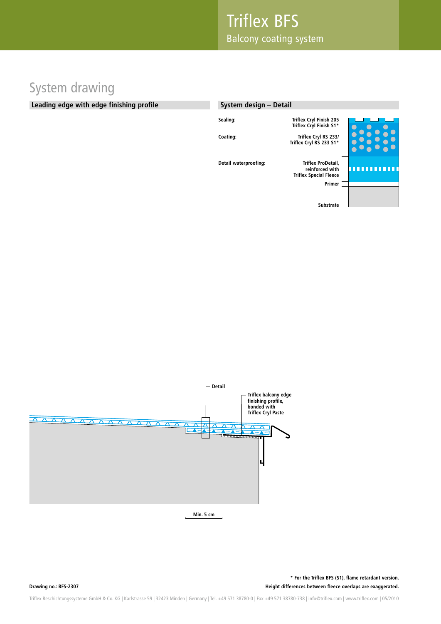# System drawing

#### **Leading edge with edge finishing profile**

| System design - Detail |                                                                        |  |
|------------------------|------------------------------------------------------------------------|--|
| Sealing:               | Triflex Cryl Finish 205<br>Triflex Cryl Finish S1*                     |  |
| Coating:               | Triflex Cryl RS 233/<br>Triflex Cryl RS 233 S1*                        |  |
| Detail waterproofing:  | Triflex ProDetail.<br>reinforced with<br><b>Triflex Special Fleece</b> |  |
|                        | Primer                                                                 |  |
|                        | <b>Substrate</b>                                                       |  |



**Min. 5 cm**

**Height differences between fleece overlaps are exaggerated. \* For the Triflex BFS (S1), flame retardant version.**

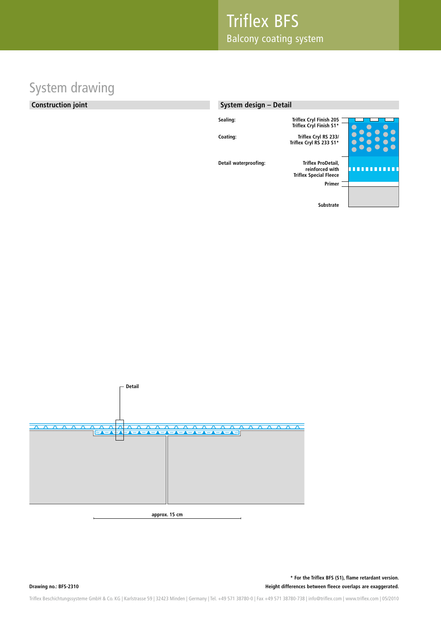### System drawing

### **Construction joint**

### **Sealing: Triflex Cryl Finish 205 Triflex Cryl Finish S1\* Primer Substrate Coating: Triflex Cryl RS 233/ Triflex Cryl RS 233 S1\* Detail waterproofing: reinforced with Triflex Special Fleece System design – Detail**



**Height differences between fleece overlaps are exaggerated. \* For the Triflex BFS (S1), flame retardant version.**

**Drawing no.: BFS-2310**